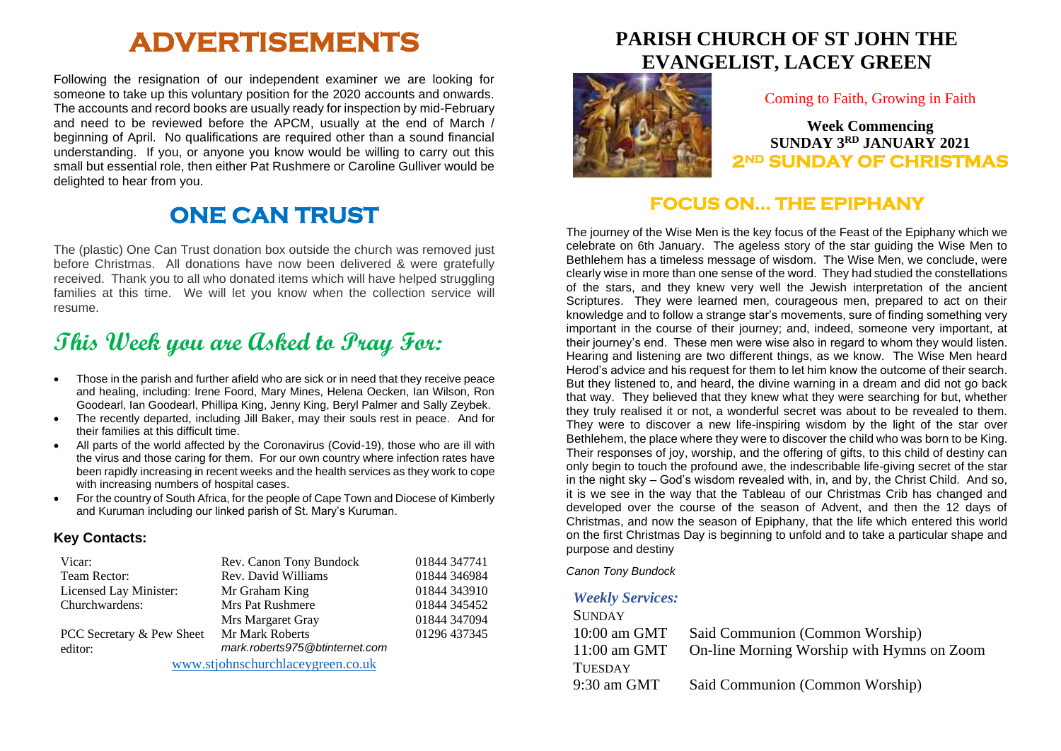# **ADVERTISEMENTS**

Following the resignation of our independent examiner we are looking for someone to take up this voluntary position for the 2020 accounts and onwards. The accounts and record books are usually ready for inspection by mid-February and need to be reviewed before the APCM, usually at the end of March / beginning of April. No qualifications are required other than a sound financial understanding. If you, or anyone you know would be willing to carry out this small but essential role, then either Pat Rushmere or Caroline Gulliver would be delighted to hear from you.

## **ONE CAN TRUST**

The (plastic) One Can Trust donation box outside the church was removed just before Christmas. All donations have now been delivered & were gratefully received. Thank you to all who donated items which will have helped struggling families at this time. We will let you know when the collection service will resume.

## **This Week you are Asked to Pray For:**

- Those in the parish and further afield who are sick or in need that they receive peace and healing, including: Irene Foord, Mary Mines, Helena Oecken, Ian Wilson, Ron Goodearl, Ian Goodearl, Phillipa King, Jenny King, Beryl Palmer and Sally Zeybek.
- The recently departed, including Jill Baker, may their souls rest in peace. And for their families at this difficult time.
- All parts of the world affected by the Coronavirus (Covid-19), those who are ill with the virus and those caring for them. For our own country where infection rates have been rapidly increasing in recent weeks and the health services as they work to cope with increasing numbers of hospital cases.
- For the country of South Africa, for the people of Cape Town and Diocese of Kimberly and Kuruman including our linked parish of St. Mary's Kuruman.

#### **Key Contacts:**

| Vicar:                            | Rev. Canon Tony Bundock        | 01844 347741 |
|-----------------------------------|--------------------------------|--------------|
| Team Rector:                      | Rev. David Williams            | 01844 346984 |
| Licensed Lay Minister:            | Mr Graham King                 | 01844 343910 |
| Churchwardens:                    | Mrs Pat Rushmere               | 01844 345452 |
|                                   | Mrs Margaret Gray              | 01844 347094 |
| PCC Secretary & Pew Sheet         | Mr Mark Roberts                | 01296 437345 |
| editor:                           | mark.roberts975@btinternet.com |              |
| www.stjohnschurchlaceygreen.co.uk |                                |              |

**PARISH CHURCH OF ST JOHN THE EVANGELIST, LACEY GREEN**



#### Coming to Faith, Growing in Faith

**Week Commencing SUNDAY 3RD JANUARY 2021 2ND SUNDAY OF CHRISTMAS** 

### **FOCUS ON… THE EPIPHANY**

The journey of the Wise Men is the key focus of the Feast of the Epiphany which we celebrate on 6th January. The ageless story of the star guiding the Wise Men to Bethlehem has a timeless message of wisdom. The Wise Men, we conclude, were clearly wise in more than one sense of the word. They had studied the constellations of the stars, and they knew very well the Jewish interpretation of the ancient Scriptures. They were learned men, courageous men, prepared to act on their knowledge and to follow a strange star's movements, sure of finding something very important in the course of their journey; and, indeed, someone very important, at their journey's end. These men were wise also in regard to whom they would listen. Hearing and listening are two different things, as we know. The Wise Men heard Herod's advice and his request for them to let him know the outcome of their search. But they listened to, and heard, the divine warning in a dream and did not go back that way. They believed that they knew what they were searching for but, whether they truly realised it or not, a wonderful secret was about to be revealed to them. They were to discover a new life-inspiring wisdom by the light of the star over Bethlehem, the place where they were to discover the child who was born to be King. Their responses of joy, worship, and the offering of gifts, to this child of destiny can only begin to touch the profound awe, the indescribable life-giving secret of the star in the night sky – God's wisdom revealed with, in, and by, the Christ Child. And so, it is we see in the way that the Tableau of our Christmas Crib has changed and developed over the course of the season of Advent, and then the 12 days of Christmas, and now the season of Epiphany, that the life which entered this world on the first Christmas Day is beginning to unfold and to take a particular shape and purpose and destiny

*Canon Tony Bundock*

#### *Weekly Services:*

| <b>SUNDAY</b>  |                                            |
|----------------|--------------------------------------------|
| 10:00 am GMT   | Said Communion (Common Worship)            |
| $11:00$ am GMT | On-line Morning Worship with Hymns on Zoom |
| <b>TUESDAY</b> |                                            |
| $9:30$ am GMT  | Said Communion (Common Worship)            |